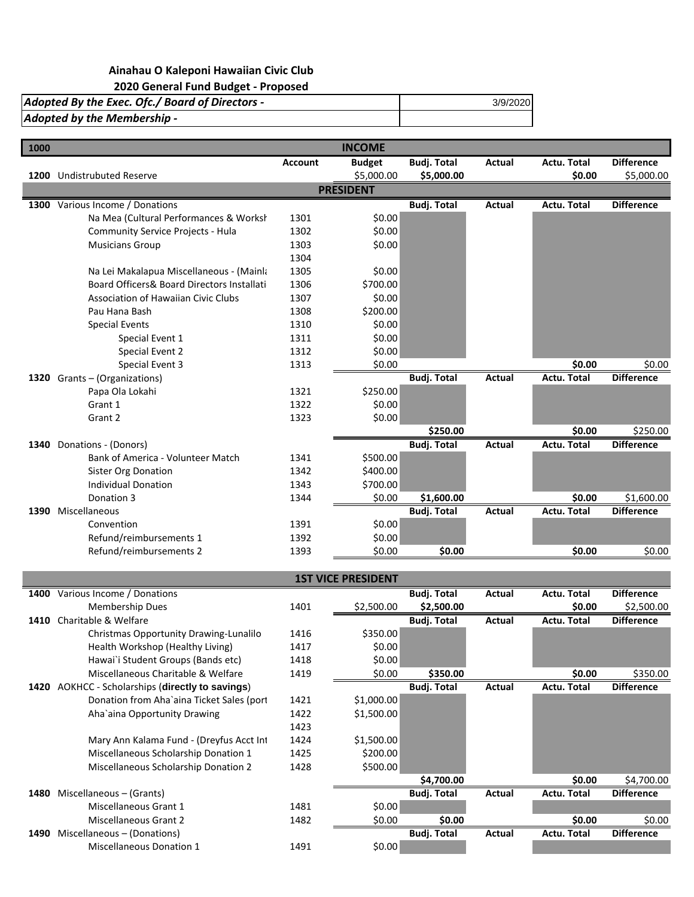## **Ainahau O Kaleponi Hawaiian Civic Club 2020 General Fund Budget - Proposed**

| Adopted By the Exec. Ofc./ Board of Directors - | 3/9/2020 |
|-------------------------------------------------|----------|
| Adopted by the Membership -                     |          |
|                                                 |          |

| 1000 |                                            |                | <b>INCOME</b>    |                    |        |                    |                   |
|------|--------------------------------------------|----------------|------------------|--------------------|--------|--------------------|-------------------|
|      |                                            | <b>Account</b> | <b>Budget</b>    | <b>Budj. Total</b> | Actual | Actu. Total        | <b>Difference</b> |
|      | 1200 Undistrubuted Reserve                 |                | \$5,000.00       | \$5,000.00         |        | \$0.00             | \$5,000.00        |
|      |                                            |                | <b>PRESIDENT</b> |                    |        |                    |                   |
| 1300 | Various Income / Donations                 |                |                  | <b>Budj. Total</b> | Actual | <b>Actu. Total</b> | <b>Difference</b> |
|      | Na Mea (Cultural Performances & Worksł     | 1301           | \$0.00           |                    |        |                    |                   |
|      | Community Service Projects - Hula          | 1302           | \$0.00           |                    |        |                    |                   |
|      | <b>Musicians Group</b>                     | 1303           | \$0.00           |                    |        |                    |                   |
|      |                                            | 1304           |                  |                    |        |                    |                   |
|      | Na Lei Makalapua Miscellaneous - (Mainla   | 1305           | \$0.00           |                    |        |                    |                   |
|      | Board Officers& Board Directors Installati | 1306           | \$700.00         |                    |        |                    |                   |
|      | <b>Association of Hawaiian Civic Clubs</b> | 1307           | \$0.00           |                    |        |                    |                   |
|      | Pau Hana Bash                              | 1308           | \$200.00         |                    |        |                    |                   |
|      | <b>Special Events</b>                      | 1310           | \$0.00           |                    |        |                    |                   |
|      | Special Event 1                            | 1311           | \$0.00           |                    |        |                    |                   |
|      | Special Event 2                            | 1312           | \$0.00           |                    |        |                    |                   |
|      | Special Event 3                            | 1313           | \$0.00           |                    |        | \$0.00             | \$0.00            |
|      | 1320 Grants - (Organizations)              |                |                  | <b>Budj. Total</b> | Actual | Actu. Total        | <b>Difference</b> |
|      | Papa Ola Lokahi                            | 1321           | \$250.00         |                    |        |                    |                   |
|      | Grant 1                                    | 1322           | \$0.00           |                    |        |                    |                   |
|      | Grant 2                                    | 1323           | \$0.00           |                    |        |                    |                   |
|      |                                            |                |                  | \$250.00           |        | \$0.00             | \$250.00          |
| 1340 | Donations - (Donors)                       |                |                  | <b>Budj. Total</b> | Actual | <b>Actu. Total</b> | <b>Difference</b> |
|      | Bank of America - Volunteer Match          | 1341           | \$500.00         |                    |        |                    |                   |
|      | <b>Sister Org Donation</b>                 | 1342           | \$400.00         |                    |        |                    |                   |
|      | <b>Individual Donation</b>                 | 1343           | \$700.00         |                    |        |                    |                   |
|      | Donation 3                                 | 1344           | \$0.00           | \$1,600.00         |        | \$0.00             | \$1,600.00        |
| 1390 | Miscellaneous                              |                |                  | <b>Budj. Total</b> | Actual | <b>Actu. Total</b> | <b>Difference</b> |
|      | Convention                                 | 1391           | \$0.00           |                    |        |                    |                   |
|      | Refund/reimbursements 1                    | 1392           | \$0.00           |                    |        |                    |                   |
|      | Refund/reimbursements 2                    | 1393           | \$0.00           | \$0.00             |        | \$0.00             | \$0.00            |

| 1400 | Various Income / Donations                  |      |            | <b>Budj. Total</b> | Actual        | Actu. Total        | <b>Difference</b> |
|------|---------------------------------------------|------|------------|--------------------|---------------|--------------------|-------------------|
|      | Membership Dues                             | 1401 | \$2,500.00 | \$2,500.00         |               | \$0.00             | \$2,500.00        |
| 1410 | Charitable & Welfare                        |      |            | <b>Budj. Total</b> | <b>Actual</b> | <b>Actu. Total</b> | <b>Difference</b> |
|      | Christmas Opportunity Drawing-Lunalilo      | 1416 | \$350.00   |                    |               |                    |                   |
|      | Health Workshop (Healthy Living)            | 1417 | \$0.00     |                    |               |                    |                   |
|      | Hawai`i Student Groups (Bands etc)          | 1418 | \$0.00     |                    |               |                    |                   |
|      | Miscellaneous Charitable & Welfare          | 1419 | \$0.00     | \$350.00           |               | \$0.00             | \$350.00          |
| 1420 | AOKHCC - Scholarships (directly to savings) |      |            | <b>Budj. Total</b> | Actual        | <b>Actu. Total</b> | <b>Difference</b> |
|      | Donation from Aha`aina Ticket Sales (port   | 1421 | \$1,000.00 |                    |               |                    |                   |
|      | Aha'aina Opportunity Drawing                | 1422 | \$1,500.00 |                    |               |                    |                   |
|      |                                             | 1423 |            |                    |               |                    |                   |
|      | Mary Ann Kalama Fund - (Dreyfus Acct Int    | 1424 | \$1,500.00 |                    |               |                    |                   |
|      | Miscellaneous Scholarship Donation 1        | 1425 | \$200.00   |                    |               |                    |                   |
|      | Miscellaneous Scholarship Donation 2        | 1428 | \$500.00   |                    |               |                    |                   |
|      |                                             |      |            | \$4,700.00         |               | \$0.00             | \$4,700.00        |
| 1480 | Miscellaneous - (Grants)                    |      |            | <b>Budj. Total</b> | Actual        | <b>Actu. Total</b> | <b>Difference</b> |
|      | Miscellaneous Grant 1                       | 1481 | \$0.00     |                    |               |                    |                   |
|      | <b>Miscellaneous Grant 2</b>                | 1482 | \$0.00     | \$0.00             |               | \$0.00             | \$0.00            |
| 1490 | Miscellaneous - (Donations)                 |      |            | <b>Budj. Total</b> | Actual        | <b>Actu. Total</b> | <b>Difference</b> |
|      | <b>Miscellaneous Donation 1</b>             | 1491 | \$0.00     |                    |               |                    |                   |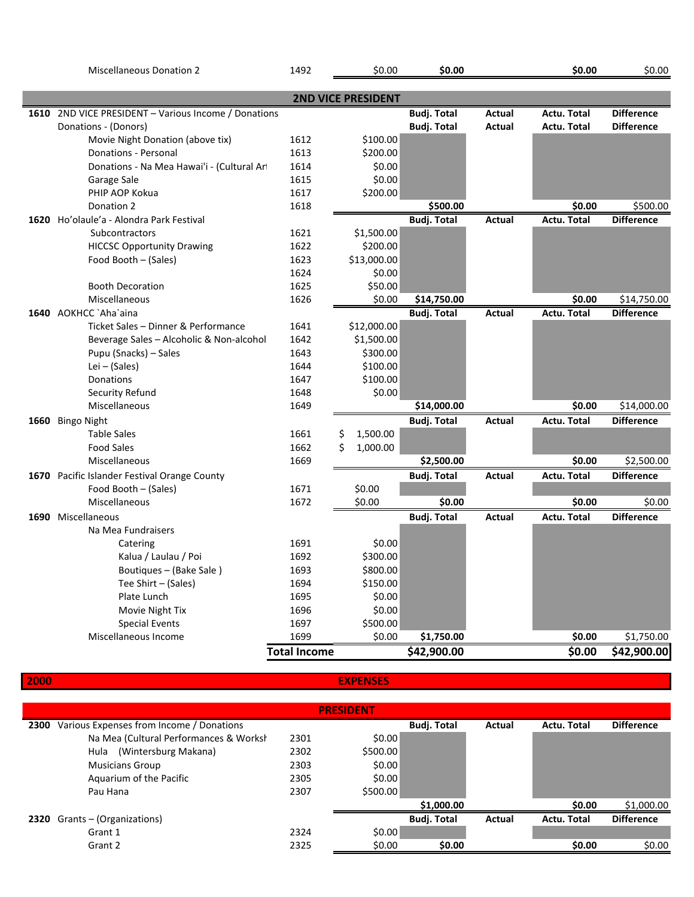Miscellaneous Donation 2 1492 \$0.00 **\$0.00 \$0.00** \$0.00

|      |                                                 |                     | <b>2ND VICE PRESIDENT</b> |                    |               |                    |                   |
|------|-------------------------------------------------|---------------------|---------------------------|--------------------|---------------|--------------------|-------------------|
| 1610 | 2ND VICE PRESIDENT - Various Income / Donations |                     |                           | <b>Budj. Total</b> | Actual        | Actu. Total        | <b>Difference</b> |
|      | Donations - (Donors)                            |                     |                           | <b>Budj. Total</b> | Actual        | <b>Actu. Total</b> | <b>Difference</b> |
|      | Movie Night Donation (above tix)                | 1612                | \$100.00                  |                    |               |                    |                   |
|      | Donations - Personal                            | 1613                | \$200.00                  |                    |               |                    |                   |
|      | Donations - Na Mea Hawai'i - (Cultural Ar       | 1614                | \$0.00                    |                    |               |                    |                   |
|      | Garage Sale                                     | 1615                | \$0.00                    |                    |               |                    |                   |
|      | PHIP AOP Kokua                                  | 1617                | \$200.00                  |                    |               |                    |                   |
|      | Donation 2                                      | 1618                |                           | \$500.00           |               | \$0.00             | \$500.00          |
| 1620 | Ho'olaule'a - Alondra Park Festival             |                     |                           | <b>Budj. Total</b> | Actual        | <b>Actu. Total</b> | <b>Difference</b> |
|      | <b>Subcontractors</b>                           | 1621                | \$1,500.00                |                    |               |                    |                   |
|      | <b>HICCSC Opportunity Drawing</b>               | 1622                | \$200.00                  |                    |               |                    |                   |
|      | Food Booth - (Sales)                            | 1623                | \$13,000.00               |                    |               |                    |                   |
|      |                                                 | 1624                | \$0.00                    |                    |               |                    |                   |
|      | <b>Booth Decoration</b>                         | 1625                | \$50.00                   |                    |               |                    |                   |
|      | Miscellaneous                                   | 1626                | \$0.00                    | \$14,750.00        |               | \$0.00             | \$14,750.00       |
|      | 1640 AOKHCC `Aha`aina                           |                     |                           | <b>Budj. Total</b> | <b>Actual</b> | <b>Actu. Total</b> | <b>Difference</b> |
|      | Ticket Sales - Dinner & Performance             | 1641                | \$12,000.00               |                    |               |                    |                   |
|      | Beverage Sales - Alcoholic & Non-alcohol        | 1642                | \$1,500.00                |                    |               |                    |                   |
|      | Pupu (Snacks) - Sales                           | 1643                | \$300.00                  |                    |               |                    |                   |
|      | Lei $-$ (Sales)                                 | 1644                | \$100.00                  |                    |               |                    |                   |
|      | Donations                                       | 1647                | \$100.00                  |                    |               |                    |                   |
|      | Security Refund                                 | 1648                | \$0.00                    |                    |               |                    |                   |
|      | Miscellaneous                                   | 1649                |                           | \$14,000.00        |               | \$0.00             | \$14,000.00       |
|      | 1660 Bingo Night                                |                     |                           | <b>Budj. Total</b> | <b>Actual</b> | <b>Actu. Total</b> | <b>Difference</b> |
|      | <b>Table Sales</b>                              | 1661                | \$<br>1,500.00            |                    |               |                    |                   |
|      | <b>Food Sales</b>                               | 1662                | \$<br>1,000.00            |                    |               |                    |                   |
|      | Miscellaneous                                   | 1669                |                           | \$2,500.00         |               | \$0.00             | \$2,500.00        |
| 1670 | Pacific Islander Festival Orange County         |                     |                           | <b>Budj. Total</b> | <b>Actual</b> | <b>Actu. Total</b> | <b>Difference</b> |
|      | Food Booth - (Sales)                            | 1671                | \$0.00                    |                    |               |                    |                   |
|      | Miscellaneous                                   | 1672                | \$0.00                    | \$0.00             |               | \$0.00             | \$0.00            |
| 1690 | Miscellaneous                                   |                     |                           | <b>Budj. Total</b> | <b>Actual</b> | <b>Actu. Total</b> | <b>Difference</b> |
|      | Na Mea Fundraisers                              |                     |                           |                    |               |                    |                   |
|      | Catering                                        | 1691                | \$0.00                    |                    |               |                    |                   |
|      | Kalua / Laulau / Poi                            | 1692                | \$300.00                  |                    |               |                    |                   |
|      | Boutiques - (Bake Sale)                         | 1693                | \$800.00                  |                    |               |                    |                   |
|      | Tee Shirt - (Sales)                             | 1694                | \$150.00                  |                    |               |                    |                   |
|      | Plate Lunch                                     | 1695                | \$0.00                    |                    |               |                    |                   |
|      | Movie Night Tix                                 | 1696                | \$0.00                    |                    |               |                    |                   |
|      | <b>Special Events</b>                           | 1697                | \$500.00                  |                    |               |                    |                   |
|      | Miscellaneous Income                            | 1699                | \$0.00                    | \$1,750.00         |               | \$0.00             | \$1,750.00        |
|      |                                                 | <b>Total Income</b> |                           | \$42,900.00        |               | \$0.00             | \$42,900.00       |

**2000**

**EXPENSES**

|      | <b>PRESIDENT</b>                         |      |          |                    |        |                    |                   |  |  |
|------|------------------------------------------|------|----------|--------------------|--------|--------------------|-------------------|--|--|
| 2300 | Various Expenses from Income / Donations |      |          | <b>Budj. Total</b> | Actual | <b>Actu. Total</b> | <b>Difference</b> |  |  |
|      | Na Mea (Cultural Performances & Worksh   | 2301 | \$0.00   |                    |        |                    |                   |  |  |
|      | (Wintersburg Makana)<br>Hula             | 2302 | \$500.00 |                    |        |                    |                   |  |  |
|      | <b>Musicians Group</b>                   | 2303 | \$0.00   |                    |        |                    |                   |  |  |
|      | Aquarium of the Pacific                  | 2305 | \$0.00   |                    |        |                    |                   |  |  |
|      | Pau Hana                                 | 2307 | \$500.00 |                    |        |                    |                   |  |  |
|      |                                          |      |          | \$1,000.00         |        | \$0.00             | \$1,000.00        |  |  |
|      | 2320 Grants - (Organizations)            |      |          | <b>Budj. Total</b> | Actual | <b>Actu. Total</b> | <b>Difference</b> |  |  |
|      | Grant 1                                  | 2324 | \$0.00   |                    |        |                    |                   |  |  |
|      | Grant 2                                  | 2325 | \$0.00   | \$0.00             |        | \$0.00             | \$0.00            |  |  |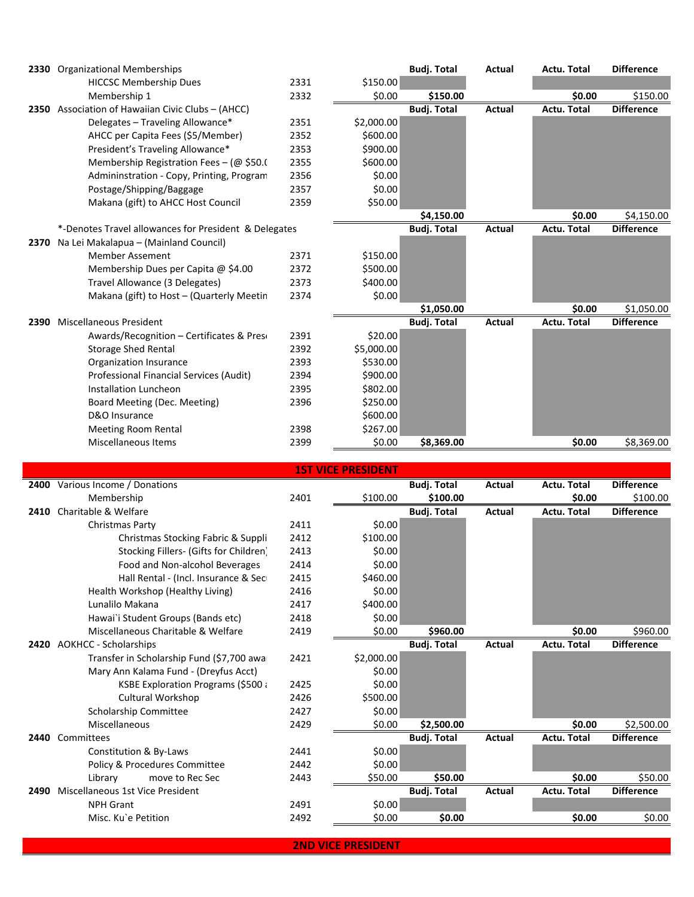|      | 2330 Organizational Memberships                       |      |            | <b>Budj. Total</b> | Actual | Actu. Total        | <b>Difference</b> |
|------|-------------------------------------------------------|------|------------|--------------------|--------|--------------------|-------------------|
|      | <b>HICCSC Membership Dues</b>                         | 2331 | \$150.00   |                    |        |                    |                   |
|      | Membership 1                                          | 2332 | \$0.00     | \$150.00           |        | \$0.00             | \$150.00          |
| 2350 | Association of Hawaiian Civic Clubs - (AHCC)          |      |            | <b>Budj. Total</b> | Actual | <b>Actu. Total</b> | <b>Difference</b> |
|      | Delegates - Traveling Allowance*                      | 2351 | \$2,000.00 |                    |        |                    |                   |
|      | AHCC per Capita Fees (\$5/Member)                     | 2352 | \$600.00   |                    |        |                    |                   |
|      | President's Traveling Allowance*                      | 2353 | \$900.00   |                    |        |                    |                   |
|      | Membership Registration Fees - ( $@$ \$50.0           | 2355 | \$600.00   |                    |        |                    |                   |
|      | Admininstration - Copy, Printing, Program             | 2356 | \$0.00     |                    |        |                    |                   |
|      | Postage/Shipping/Baggage                              | 2357 | \$0.00     |                    |        |                    |                   |
|      | Makana (gift) to AHCC Host Council                    | 2359 | \$50.00    |                    |        |                    |                   |
|      |                                                       |      |            | \$4,150.00         |        | \$0.00             | \$4,150.00        |
|      | *-Denotes Travel allowances for President & Delegates |      |            | <b>Budj. Total</b> | Actual | <b>Actu. Total</b> | <b>Difference</b> |
| 2370 | Na Lei Makalapua - (Mainland Council)                 |      |            |                    |        |                    |                   |
|      | <b>Member Assement</b>                                | 2371 | \$150.00   |                    |        |                    |                   |
|      | Membership Dues per Capita @ \$4.00                   | 2372 | \$500.00   |                    |        |                    |                   |
|      | Travel Allowance (3 Delegates)                        | 2373 | \$400.00   |                    |        |                    |                   |
|      | Makana (gift) to Host - (Quarterly Meetin             | 2374 | \$0.00     |                    |        |                    |                   |
|      |                                                       |      |            | \$1,050.00         |        | \$0.00             | \$1,050.00        |
| 2390 | Miscellaneous President                               |      |            | <b>Budj. Total</b> | Actual | Actu. Total        | <b>Difference</b> |
|      | Awards/Recognition – Certificates & Pres              | 2391 | \$20.00    |                    |        |                    |                   |
|      | <b>Storage Shed Rental</b>                            | 2392 | \$5,000.00 |                    |        |                    |                   |
|      | Organization Insurance                                | 2393 | \$530.00   |                    |        |                    |                   |
|      | Professional Financial Services (Audit)               | 2394 | \$900.00   |                    |        |                    |                   |
|      | Installation Luncheon                                 | 2395 | \$802.00   |                    |        |                    |                   |
|      | Board Meeting (Dec. Meeting)                          | 2396 | \$250.00   |                    |        |                    |                   |
|      | D&O Insurance                                         |      | \$600.00   |                    |        |                    |                   |
|      | <b>Meeting Room Rental</b>                            | 2398 | \$267.00   |                    |        |                    |                   |
|      | <b>Miscellaneous Items</b>                            | 2399 | \$0.00     | \$8,369.00         |        | \$0.00             | \$8,369.00        |
|      |                                                       |      |            |                    |        |                    |                   |

**2400** Various Income / Donations **Budj. Total Actual Actu. Total Difference** Membership 2401 \$100.00 **\$100.00 \$0.00** \$100.00 **2410** Charitable & Welfare **Budj. Total Actual Actu. Total Difference** Christmas Party 2411 \$0.00 Christmas Stocking Fabric & Suppli 2412 \$100.00 Stocking Fillers- (Gifts for Children) 2413 \$0.00 Food and Non-alcohol Beverages 2414 \$0.00 Hall Rental - (Incl. Insurance & Sec 2415 \$460.00 Health Workshop (Healthy Living) 2416 \$0.00 Lunalilo Makana 2417 \$400.00 Hawai`i Student Groups (Bands etc) 2418 \$0.00 Miscellaneous Charitable & Welfare 2419 \$0.00 **\$960.00 \$0.00** \$960.00 **2420** AOKHCC - Scholarships **Budj. Total Actual Actu. Total Difference** Transfer in Scholarship Fund (\$7,700 awa 2421 \$2,000.00 Mary Ann Kalama Fund - (Dreyfus Acct)  $\frac{1}{2}0.00$ KSBE Exploration Programs (\$500 awarded 2425 \$0.00 Cultural Workshop 2426 \$500.00 Scholarship Committee 2427 \$0.00 Miscellaneous 2429 \$0.00 **\$2,500.00 \$0.00** \$2,500.00 **2440** Committees **Budj. Total Actual Actu. Total Difference** Constitution & By-Laws 2441 \$0.00 Policy & Procedures Committee  $\begin{array}{ccc}\n\text{2442} & \text{50.00} \\
\text{Library} & \text{move to Rec} & \text{2443} \\
\end{array}$ Library move to Rec Sec 2443 \$50.00 **\$50.00 \$0.00** \$50.00 **2490** Miscellaneous 1st Vice President **Budj. Total Actual Actu. Total Difference** NPH Grant  $2491$  \$0.00 Misc. Ku`e Petition 2492 \$0.00 **\$0.00 \$0.00** \$0.00 **1ST VICE PRESIDENT**

**2ND VICE PRESIDENT**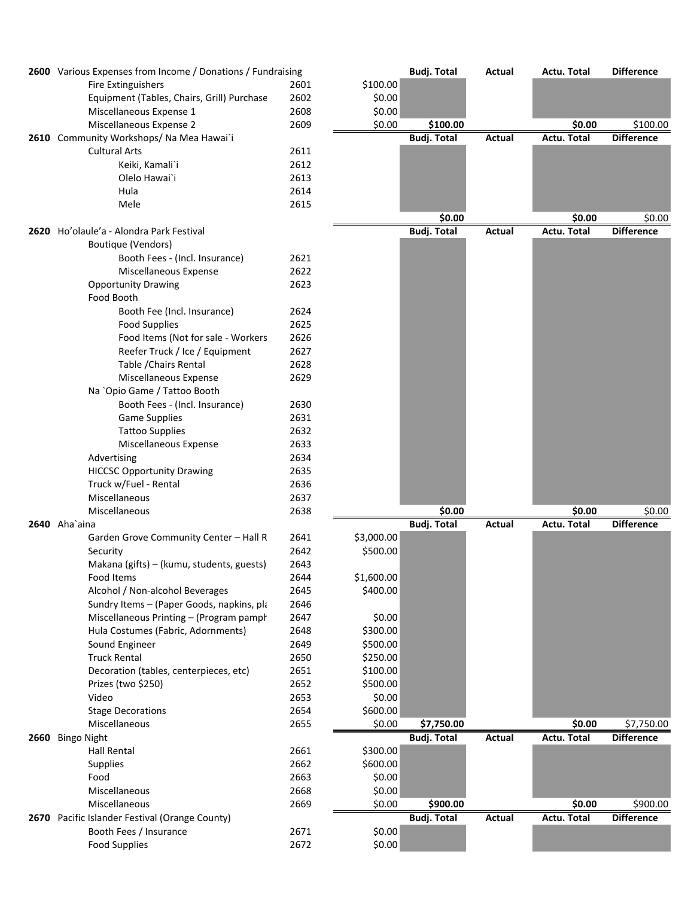|      | 2600 Various Expenses from Income / Donations / Fundraising |              |            | <b>Budj. Total</b> | Actual | <b>Actu. Total</b> | <b>Difference</b> |
|------|-------------------------------------------------------------|--------------|------------|--------------------|--------|--------------------|-------------------|
|      | <b>Fire Extinguishers</b>                                   | 2601         | \$100.00   |                    |        |                    |                   |
|      | Equipment (Tables, Chairs, Grill) Purchase                  | 2602         | \$0.00     |                    |        |                    |                   |
|      | Miscellaneous Expense 1                                     | 2608         | \$0.00     |                    |        |                    |                   |
|      | Miscellaneous Expense 2                                     | 2609         | \$0.00     | \$100.00           |        | \$0.00             | \$100.00          |
|      | 2610 Community Workshops/ Na Mea Hawai`i                    |              |            | <b>Budj. Total</b> | Actual | Actu. Total        | <b>Difference</b> |
|      | <b>Cultural Arts</b>                                        | 2611         |            |                    |        |                    |                   |
|      | Keiki, Kamali'i                                             | 2612         |            |                    |        |                    |                   |
|      | Olelo Hawai`i                                               | 2613         |            |                    |        |                    |                   |
|      | Hula                                                        | 2614         |            |                    |        |                    |                   |
|      | Mele                                                        | 2615         |            | \$0.00             |        | \$0.00             | \$0.00            |
| 2620 | Ho'olaule'a - Alondra Park Festival                         |              |            | <b>Budj. Total</b> | Actual | <b>Actu. Total</b> | <b>Difference</b> |
|      | Boutique (Vendors)                                          |              |            |                    |        |                    |                   |
|      | Booth Fees - (Incl. Insurance)                              | 2621         |            |                    |        |                    |                   |
|      | Miscellaneous Expense                                       | 2622         |            |                    |        |                    |                   |
|      | <b>Opportunity Drawing</b>                                  | 2623         |            |                    |        |                    |                   |
|      | Food Booth                                                  |              |            |                    |        |                    |                   |
|      | Booth Fee (Incl. Insurance)                                 | 2624         |            |                    |        |                    |                   |
|      | <b>Food Supplies</b>                                        | 2625         |            |                    |        |                    |                   |
|      | Food Items (Not for sale - Workers                          | 2626         |            |                    |        |                    |                   |
|      | Reefer Truck / Ice / Equipment                              | 2627         |            |                    |        |                    |                   |
|      | Table / Chairs Rental                                       | 2628         |            |                    |        |                    |                   |
|      | Miscellaneous Expense                                       | 2629         |            |                    |        |                    |                   |
|      | Na 'Opio Game / Tattoo Booth                                |              |            |                    |        |                    |                   |
|      | Booth Fees - (Incl. Insurance)                              | 2630         |            |                    |        |                    |                   |
|      | <b>Game Supplies</b>                                        | 2631         |            |                    |        |                    |                   |
|      | <b>Tattoo Supplies</b>                                      | 2632         |            |                    |        |                    |                   |
|      | Miscellaneous Expense                                       | 2633         |            |                    |        |                    |                   |
|      | Advertising                                                 | 2634         |            |                    |        |                    |                   |
|      | <b>HICCSC Opportunity Drawing</b>                           | 2635         |            |                    |        |                    |                   |
|      | Truck w/Fuel - Rental                                       | 2636         |            |                    |        |                    |                   |
|      | Miscellaneous<br>Miscellaneous                              | 2637<br>2638 |            | \$0.00             |        | \$0.00             | \$0.00            |
|      | 2640 Aha`aina                                               |              |            | <b>Budj. Total</b> | Actual | <b>Actu. Total</b> | <b>Difference</b> |
|      | Garden Grove Community Center - Hall R                      | 2641         | \$3,000.00 |                    |        |                    |                   |
|      | Security                                                    | 2642         | \$500.00   |                    |        |                    |                   |
|      | Makana (gifts) - (kumu, students, guests)                   | 2643         |            |                    |        |                    |                   |
|      | Food Items                                                  | 2644         | \$1,600.00 |                    |        |                    |                   |
|      | Alcohol / Non-alcohol Beverages                             | 2645         | \$400.00   |                    |        |                    |                   |
|      | Sundry Items - (Paper Goods, napkins, pla                   | 2646         |            |                    |        |                    |                   |
|      | Miscellaneous Printing - (Program pampl                     | 2647         | \$0.00     |                    |        |                    |                   |
|      | Hula Costumes (Fabric, Adornments)                          | 2648         | \$300.00   |                    |        |                    |                   |
|      | Sound Engineer                                              | 2649         | \$500.00   |                    |        |                    |                   |
|      | <b>Truck Rental</b>                                         | 2650         | \$250.00   |                    |        |                    |                   |
|      | Decoration (tables, centerpieces, etc)                      | 2651         | \$100.00   |                    |        |                    |                   |
|      | Prizes (two \$250)                                          | 2652         | \$500.00   |                    |        |                    |                   |
|      | Video                                                       | 2653         | \$0.00     |                    |        |                    |                   |
|      | <b>Stage Decorations</b>                                    | 2654         | \$600.00   |                    |        |                    |                   |
|      | Miscellaneous                                               | 2655         | \$0.00     | \$7,750.00         |        | \$0.00             | \$7,750.00        |
| 2660 | <b>Bingo Night</b>                                          |              |            | <b>Budj. Total</b> | Actual | Actu. Total        | <b>Difference</b> |
|      | Hall Rental                                                 | 2661         | \$300.00   |                    |        |                    |                   |
|      | <b>Supplies</b>                                             | 2662         | \$600.00   |                    |        |                    |                   |
|      | Food                                                        | 2663         | \$0.00     |                    |        |                    |                   |
|      | Miscellaneous                                               | 2668         | \$0.00     |                    |        |                    |                   |
|      | Miscellaneous                                               | 2669         | \$0.00     | \$900.00           |        | \$0.00             | \$900.00          |
|      | 2670 Pacific Islander Festival (Orange County)              |              |            | <b>Budj. Total</b> | Actual | Actu. Total        | <b>Difference</b> |
|      | Booth Fees / Insurance                                      | 2671         | \$0.00     |                    |        |                    |                   |
|      | <b>Food Supplies</b>                                        | 2672         | \$0.00     |                    |        |                    |                   |